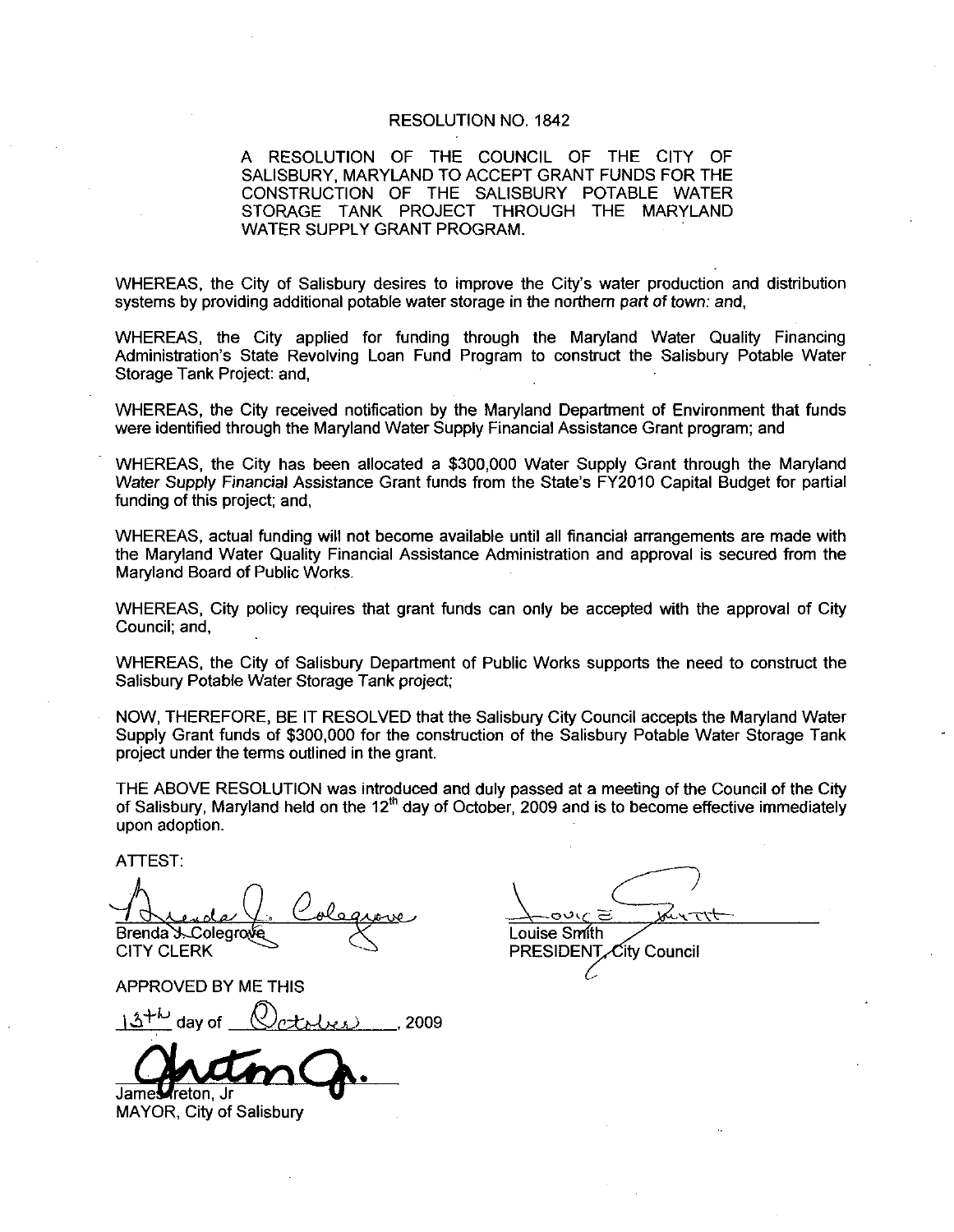## RESOLUTION NO. 1842

A RESOLUTION OF THE COUNCIL OF THE CITY OF SALISBURY, MARYLAND TO ACCEPT GRANT FUNDS FOR THE CONSTRUCTION OF THE SALISBURY POTABLE WATER STORAGE TANK PROJECT THROUGH THE MARYLAND WATER SUPPLY GRANT PROGRAM A RESOLUTION OF THE COUNCIL OF THE CITY OF<br>
SALISBURY, MARYLAND TO ACCEPT GRANT PUNDS FOR THE<br>
CONSTRUCTION OF THE SALISBURY POTABLE WATER<br>
STORAGE TANK PROJECT THROUGH THE MARYLAND<br>
WATER SUPPLY GRANT PROGRAM.<br>
WHEREAS, t

WATER SUPPLY GRANT PROGRAM.<br>WHEREAS, the City of Salisbury desires to improve the City's water production are systems by providing additional potable water storage in the northern part of town: and, WHEREAS, the City of Salisbury desires to improve the City's water production and distribution

WHEREAS, the City applied for funding through the Maryland Water Quality Financing<br>Administration's State Revolving Loan Fund Program to construct the Salisbury Potable Water Storage Tank Project: and.

were identified through the Maryland Water Supply Financial Assistance Grant program; and

WHEREAS, the City received notification by the Maryland Department of Environment that funds<br>were identified through the Maryland Water Supply Financial Assistance Grant program; and<br>WHEREAS, the City has been allocated a WHEREAS, the City has been allocated a \$300,000 Water Supply Grant through the Maryland<br>Water Supply Financial Assistance Grant funds from the State's FY2010 Capital Budget for partial funding of this project; and,

WHEREAS actual funding will not become available until all financial arrangements are made with the Maryland Water Quality Financial Assistance Administration and approval is secured from the Maryland Board of Public Works

WHEREAS, City policy requires that grant funds can only be accepted with the approval of City Council: and

WHEREAS the City of Salisbury Department of Public Works supports the need to construct the Salisbury Potable Water Storage Tank project

NOW, THEREFORE, BE IT RESOLVED that the Salisbury City Council accepts the Maryland Water Supply Grant funds of \$300,000 for the construction of the Salisbury Potable Water Storage Tank project under the terms outlined in the grant

THE ABOVE RESOLUTION was introduced and duly passed at ameeting of the Council of the City of Salisbury, Maryland held on the  $12<sup>th</sup>$  day of October, 2009 and is to become effective immediately upon adoption

ATTEST

Brenda S. Colegrove CITY CLERK

APPROVED BY ME THIS

 $13^{+10}$  day of  $(2c + 1)c$ , 2009

James reton. Jr

MAYOR, City of Salisbury

ی∨د ⊆ Louise Smith **PRESIDENT** City Council